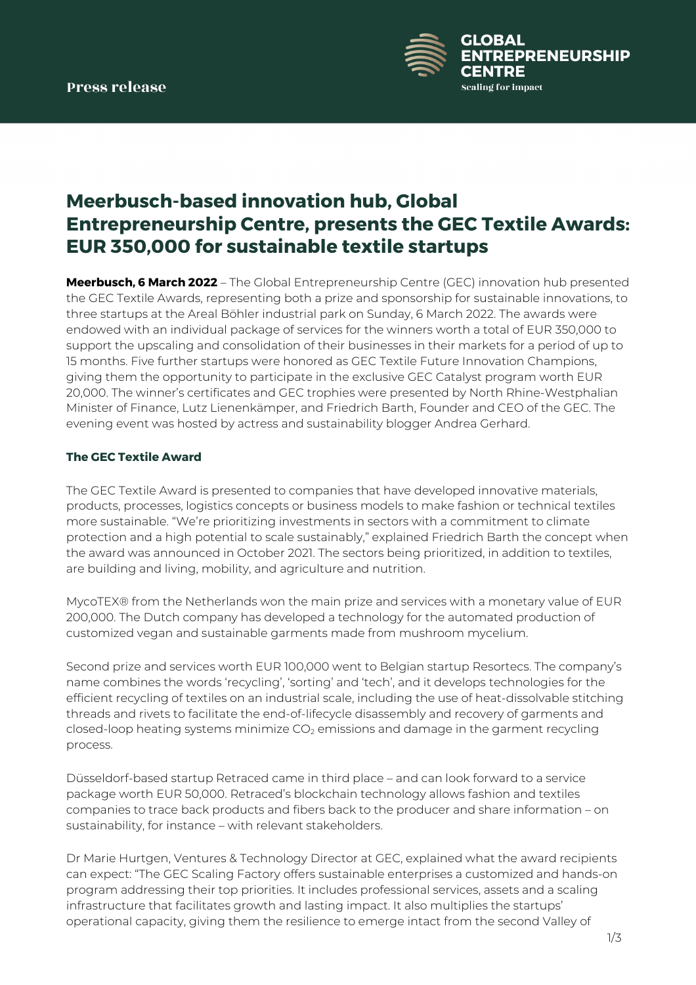

# **Meerbusch-based innovation hub, Global Entrepreneurship Centre, presents the GEC Textile Awards: EUR 350,000 for sustainable textile startups**

**Meerbusch, 6 March 2022** – The Global Entrepreneurship Centre (GEC) innovation hub presented the GEC Textile Awards, representing both a prize and sponsorship for sustainable innovations, to three startups at the Areal Böhler industrial park on Sunday, 6 March 2022. The awards were endowed with an individual package of services for the winners worth a total of EUR 350,000 to support the upscaling and consolidation of their businesses in their markets for a period of up to 15 months. Five further startups were honored as GEC Textile Future Innovation Champions, giving them the opportunity to participate in the exclusive GEC Catalyst program worth EUR 20,000. The winner's certificates and GEC trophies were presented by North Rhine-Westphalian Minister of Finance, Lutz Lienenkämper, and Friedrich Barth, Founder and CEO of the GEC. The evening event was hosted by actress and sustainability blogger Andrea Gerhard.

# **The GEC Textile Award**

The GEC Textile Award is presented to companies that have developed innovative materials, products, processes, logistics concepts or business models to make fashion or technical textiles more sustainable. "We're prioritizing investments in sectors with a commitment to climate protection and a high potential to scale sustainably," explained Friedrich Barth the concept when the award was announced in October 2021. The sectors being prioritized, in addition to textiles, are building and living, mobility, and agriculture and nutrition.

MycoTEX® from the Netherlands won the main prize and services with a monetary value of EUR 200,000. The Dutch company has developed a technology for the automated production of customized vegan and sustainable garments made from mushroom mycelium.

Second prize and services worth EUR 100,000 went to Belgian startup Resortecs. The company's name combines the words 'recycling', 'sorting' and 'tech', and it develops technologies for the efficient recycling of textiles on an industrial scale, including the use of heat-dissolvable stitching threads and rivets to facilitate the end-of-lifecycle disassembly and recovery of garments and closed-loop heating systems minimize  $CO<sub>2</sub>$  emissions and damage in the garment recycling process.

Düsseldorf-based startup Retraced came in third place – and can look forward to a service package worth EUR 50,000. Retraced's blockchain technology allows fashion and textiles companies to trace back products and fibers back to the producer and share information – on sustainability, for instance – with relevant stakeholders.

Dr Marie Hurtgen, Ventures & Technology Director at GEC, explained what the award recipients can expect: "The GEC Scaling Factory offers sustainable enterprises a customized and hands-on program addressing their top priorities. It includes professional services, assets and a scaling infrastructure that facilitates growth and lasting impact. It also multiplies the startups' operational capacity, giving them the resilience to emerge intact from the second Valley of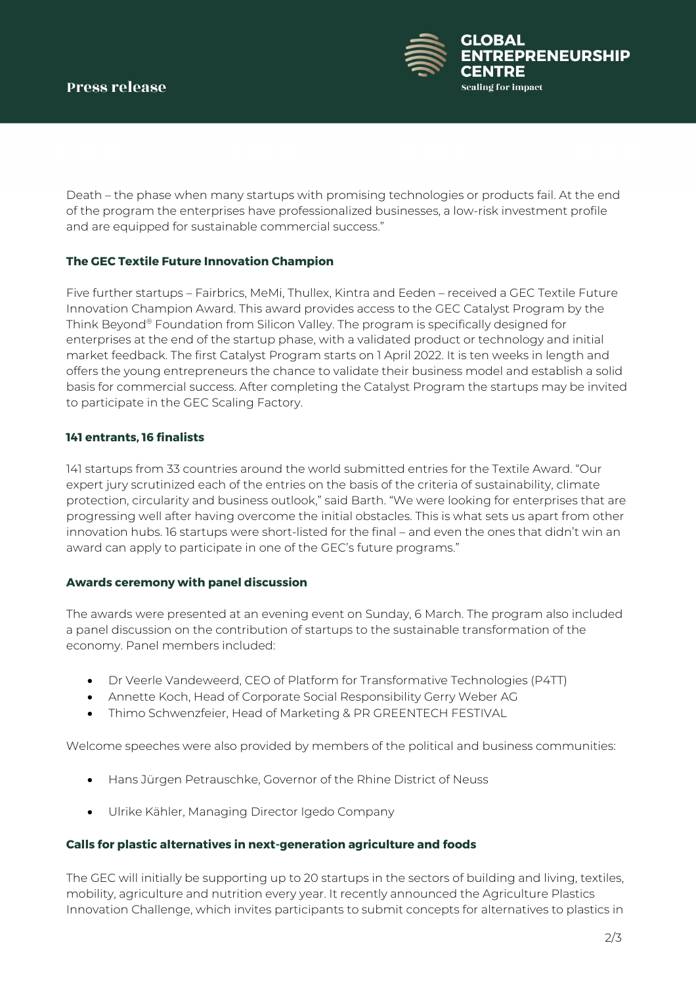

Death – the phase when many startups with promising technologies or products fail. At the end of the program the enterprises have professionalized businesses, a low-risk investment profile and are equipped for sustainable commercial success."

# **The GEC Textile Future Innovation Champion**

Five further startups – Fairbrics, MeMi, Thullex, Kintra and Eeden – received a GEC Textile Future Innovation Champion Award. This award provides access to the GEC Catalyst Program by the Think Beyond® Foundation from Silicon Valley. The program is specifically designed for enterprises at the end of the startup phase, with a validated product or technology and initial market feedback. The first Catalyst Program starts on 1 April 2022. It is ten weeks in length and offers the young entrepreneurs the chance to validate their business model and establish a solid basis for commercial success. After completing the Catalyst Program the startups may be invited to participate in the GEC Scaling Factory.

# **141 entrants, 16 finalists**

141 startups from 33 countries around the world submitted entries for the Textile Award. "Our expert jury scrutinized each of the entries on the basis of the criteria of sustainability, climate protection, circularity and business outlook," said Barth. "We were looking for enterprises that are progressing well after having overcome the initial obstacles. This is what sets us apart from other innovation hubs. 16 startups were short-listed for the final – and even the ones that didn't win an award can apply to participate in one of the GEC's future programs."

# **Awards ceremony with panel discussion**

The awards were presented at an evening event on Sunday, 6 March. The program also included a panel discussion on the contribution of startups to the sustainable transformation of the economy. Panel members included:

- Dr Veerle Vandeweerd, CEO of Platform for Transformative Technologies (P4TT)
- Annette Koch, Head of Corporate Social Responsibility Gerry Weber AG
- Thimo Schwenzfeier, Head of Marketing & PR GREENTECH FESTIVAL

Welcome speeches were also provided by members of the political and business communities:

- Hans Jürgen Petrauschke, Governor of the Rhine District of Neuss
- Ulrike Kähler, Managing Director Igedo Company

# **Calls for plastic alternatives in next-generation agriculture and foods**

The GEC will initially be supporting up to 20 startups in the sectors of building and living, textiles, mobility, agriculture and nutrition every year. It recently announced the Agriculture Plastics Innovation Challenge, which invites participants to submit concepts for alternatives to plastics in